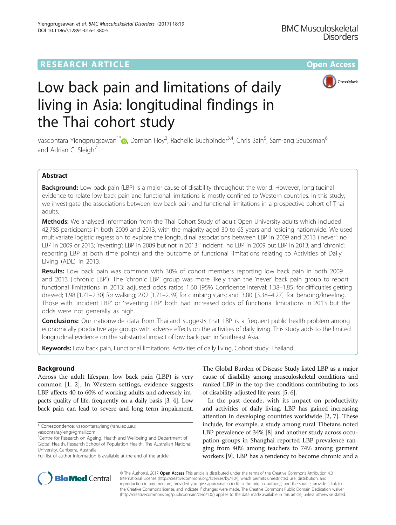

# Low back pain and limitations of daily living in Asia: longitudinal findings in the Thai cohort study

Vasoontara Yiengprugsawan<sup>1[\\*](http://orcid.org/0000-0001-9101-4704)</sup>�, Damian Hoy<sup>2</sup>, Rachelle Buchbinder<sup>3,4</sup>, Chris Bain<sup>5</sup>, Sam-ang Seubsman<sup>6</sup> and Adrian C. Sleigh<sup>7</sup>

# Abstract

Background: Low back pain (LBP) is a major cause of disability throughout the world. However, longitudinal evidence to relate low back pain and functional limitations is mostly confined to Western countries. In this study, we investigate the associations between low back pain and functional limitations in a prospective cohort of Thai adults.

Methods: We analysed information from the Thai Cohort Study of adult Open University adults which included 42,785 participants in both 2009 and 2013, with the majority aged 30 to 65 years and residing nationwide. We used multivariate logistic regression to explore the longitudinal associations between LBP in 2009 and 2013 ('never': no LBP in 2009 or 2013; 'reverting': LBP in 2009 but not in 2013; 'incident': no LBP in 2009 but LBP in 2013; and 'chronic': reporting LBP at both time points) and the outcome of functional limitations relating to Activities of Daily Living (ADL) in 2013.

Results: Low back pain was common with 30% of cohort members reporting low back pain in both 2009 and 2013 ('chronic LBP'). The 'chronic LBP' group was more likely than the 'never' back pain group to report functional limitations in 2013: adjusted odds ratios 1.60 [95% Confidence Interval: 1.38–1.85] for difficulties getting dressed; 1.98 [1.71–2.30] for walking; 2.02 [1.71–2.39] for climbing stairs; and 3.80 [3.38–4.27] for bending/kneeling. Those with 'incident LBP' or 'reverting LBP' both had increased odds of functional limitations in 2013 but the odds were not generally as high.

**Conclusions:** Our nationwide data from Thailand suggests that LBP is a frequent public health problem among economically productive age groups with adverse effects on the activities of daily living. This study adds to the limited longitudinal evidence on the substantial impact of low back pain in Southeast Asia.

Keywords: Low back pain, Functional limitations, Activities of daily living, Cohort study, Thailand

# Background

Across the adult lifespan, low back pain (LBP) is very common [[1, 2](#page-6-0)]. In Western settings, evidence suggests LBP affects 40 to 60% of working adults and adversely impacts quality of life, frequently on a daily basis [\[3, 4](#page-6-0)]. Low back pain can lead to severe and long term impairment.

The Global Burden of Disease Study listed LBP as a major cause of disability among musculoskeletal conditions and ranked LBP in the top five conditions contributing to loss of disability-adjusted life years [\[5](#page-6-0), [6](#page-6-0)].

In the past decade, with its impact on productivity and activities of daily living, LBP has gained increasing attention in developing countries worldwide [[2, 7](#page-6-0)]. These include, for example, a study among rural Tibetans noted LBP prevalence of 34% [\[8](#page-6-0)] and another study across occupation groups in Shanghai reported LBP prevalence ranging from 40% among teachers to 74% among garment workers [[9](#page-6-0)]. LBP has a tendency to become chronic and a



© The Author(s). 2017 **Open Access** This article is distributed under the terms of the Creative Commons Attribution 4.0 International License [\(http://creativecommons.org/licenses/by/4.0/](http://creativecommons.org/licenses/by/4.0/)), which permits unrestricted use, distribution, and reproduction in any medium, provided you give appropriate credit to the original author(s) and the source, provide a link to the Creative Commons license, and indicate if changes were made. The Creative Commons Public Domain Dedication waiver [\(http://creativecommons.org/publicdomain/zero/1.0/](http://creativecommons.org/publicdomain/zero/1.0/)) applies to the data made available in this article, unless otherwise stated.

<sup>\*</sup> Correspondence: [vasoontara.yieng@anu.edu.au;](mailto:vasoontara.yieng@anu.edu.au)

[vasoontara.yieng@gmail.com](mailto:vasoontara.yieng@gmail.com)

<sup>&</sup>lt;sup>1</sup>Centre for Research on Ageing, Health and Wellbeing and Department of Global Health, Research School of Population Health, The Australian National University, Canberra, Australia

Full list of author information is available at the end of the article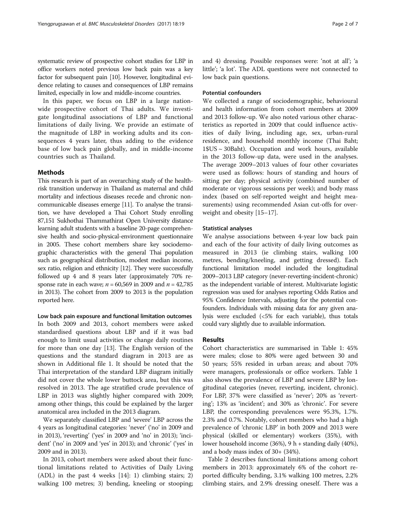systematic review of prospective cohort studies for LBP in office workers noted previous low back pain was a key factor for subsequent pain [\[10](#page-6-0)]. However, longitudinal evidence relating to causes and consequences of LBP remains limited, especially in low and middle-income countries.

In this paper, we focus on LBP in a large nationwide prospective cohort of Thai adults. We investigate longitudinal associations of LBP and functional limitations of daily living. We provide an estimate of the magnitude of LBP in working adults and its consequences 4 years later, thus adding to the evidence base of low back pain globally, and in middle-income countries such as Thailand.

## Methods

This research is part of an overarching study of the healthrisk transition underway in Thailand as maternal and child mortality and infectious diseases recede and chronic noncommunicable diseases emerge [\[11\]](#page-6-0). To analyse the transition, we have developed a Thai Cohort Study enrolling 87,151 Sukhothai Thammathirat Open University distance learning adult students with a baseline 20-page comprehensive health and socio-physical-environment questionnaire in 2005. These cohort members share key sociodemographic characteristics with the general Thai population such as geographical distribution, modest median income, sex ratio, religion and ethnicity [\[12](#page-6-0)]. They were successfully followed up 4 and 8 years later (approximately 70% response rate in each wave;  $n = 60,569$  in 2009 and  $n = 42,785$ in 2013). The cohort from 2009 to 2013 is the population reported here.

Low back pain exposure and functional limitation outcomes In both 2009 and 2013, cohort members were asked standardised questions about LBP and if it was bad enough to limit usual activities or change daily routines for more than one day [[13](#page-6-0)]. The English version of the questions and the standard diagram in 2013 are as shown in Additional file [1](#page-6-0). It should be noted that the Thai interpretation of the standard LBP diagram initially did not cover the whole lower buttock area, but this was resolved in 2013. The age stratified crude prevalence of LBP in 2013 was slightly higher compared with 2009; among other things, this could be explained by the larger anatomical area included in the 2013 diagram.

We separately classified LBP and 'severe' LBP across the 4 years as longitudinal categories: 'never' ('no' in 2009 and in 2013), 'reverting' ('yes' in 2009 and 'no' in 2013); 'incident' ('no' in 2009 and 'yes' in 2013); and 'chronic' ('yes' in 2009 and in 2013).

In 2013, cohort members were asked about their functional limitations related to Activities of Daily Living (ADL) in the past 4 weeks [\[14](#page-6-0)]: 1) climbing stairs; 2) walking 100 metres; 3) bending, kneeling or stooping; and 4) dressing. Possible responses were: 'not at all'; 'a little'; 'a lot'. The ADL questions were not connected to low back pain questions.

## Potential confounders

We collected a range of sociodemographic, behavioural and health information from cohort members at 2009 and 2013 follow-up. We also noted various other characteristics as reported in 2009 that could influence activities of daily living, including age, sex, urban-rural residence, and household monthly income (Thai Baht; 1\$US ~ 30Baht). Occupation and work hours, available in the 2013 follow-up data, were used in the analyses. The average 2009–2013 values of four other covariates were used as follows: hours of standing and hours of sitting per day; physical activity (combined number of moderate or vigorous sessions per week); and body mass index (based on self-reported weight and height measurements) using recommended Asian cut-offs for overweight and obesity [\[15](#page-6-0)–[17\]](#page-6-0).

## Statistical analyses

We analyse associations between 4-year low back pain and each of the four activity of daily living outcomes as measured in 2013 (ie climbing stairs, walking 100 metres, bending/kneeling, and getting dressed). Each functional limitation model included the longitudinal 2009–2013 LBP category (never-reverting-incident-chronic) as the independent variable of interest. Multivariate logistic regression was used for analyses reporting Odds Ratios and 95% Confidence Intervals, adjusting for the potential confounders. Individuals with missing data for any given analysis were excluded (<5% for each variable), thus totals could vary slightly due to available information.

# Results

Cohort characteristics are summarised in Table [1](#page-2-0): 45% were males; close to 80% were aged between 30 and 50 years; 55% resided in urban areas; and about 70% were managers, professionals or office workers. Table [1](#page-2-0) also shows the prevalence of LBP and severe LBP by longitudinal categories (never, reverting, incident, chronic). For LBP, 37% were classified as 'never'; 20% as 'reverting'; 13% as 'incident'; and 30% as 'chronic'. For severe LBP, the corresponding prevalences were 95.3%, 1.7%. 2.3% and 0.7%. Notably, cohort members who had a high prevalence of 'chronic LBP' in both 2009 and 2013 were physical (skilled or elementary) workers (35%), with lower household income (36%), 9 h + standing daily (40%), and a body mass index of 30+ (34%).

Table [2](#page-3-0) describes functional limitations among cohort members in 2013: approximately 6% of the cohort reported difficulty bending, 3.1% walking 100 metres, 2.2% climbing stairs, and 2.9% dressing oneself. There was a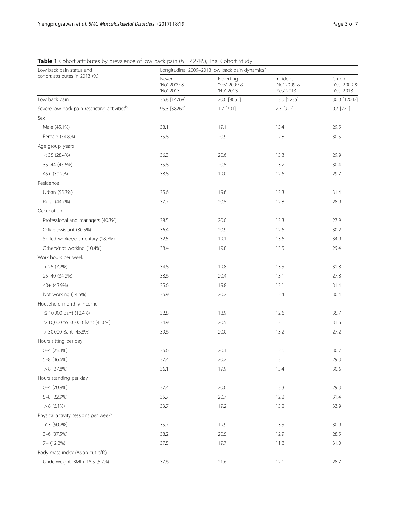| Low back pain status and                                 | Longitudinal 2009-2013 low back pain dynamics <sup>a</sup> |                                        |                                       |                                       |  |
|----------------------------------------------------------|------------------------------------------------------------|----------------------------------------|---------------------------------------|---------------------------------------|--|
| cohort attributes in 2013 (%)                            | Never<br>'No' 2009 &<br>'No' 2013                          | Reverting<br>'Yes' 2009 &<br>'No' 2013 | Incident<br>'No' 2009 &<br>'Yes' 2013 | Chronic<br>'Yes' 2009 &<br>'Yes' 2013 |  |
| Low back pain                                            | 36.8 [14768]                                               | 20.0 [8055]                            | 13.0 [5235]                           | 30.0 [12042]                          |  |
| Severe low back pain restricting activities <sup>b</sup> | 95.3 [38260]                                               | $1.7$ [701]                            | 2.3 [922]                             | $0.7$ [271]                           |  |
| Sex                                                      |                                                            |                                        |                                       |                                       |  |
| Male (45.1%)                                             | 38.1                                                       | 19.1                                   | 13.4                                  | 29.5                                  |  |
| Female (54.8%)                                           | 35.8                                                       | 20.9                                   | 12.8                                  | 30.5                                  |  |
| Age group, years                                         |                                                            |                                        |                                       |                                       |  |
| $< 35$ (28.4%)                                           | 36.3                                                       | 20.6                                   | 13.3                                  | 29.9                                  |  |
| 35-44 (45.5%)                                            | 35.8                                                       | 20.5                                   | 13.2                                  | 30.4                                  |  |
| $45 + (30.2\%)$                                          | 38.8                                                       | 19.0                                   | 12.6                                  | 29.7                                  |  |
| Residence                                                |                                                            |                                        |                                       |                                       |  |
| Urban (55.3%)                                            | 35.6                                                       | 19.6                                   | 13.3                                  | 31.4                                  |  |
| Rural (44.7%)                                            | 37.7                                                       | 20.5                                   | 12.8                                  | 28.9                                  |  |
| Occupation                                               |                                                            |                                        |                                       |                                       |  |
| Professional and managers (40.3%)                        | 38.5                                                       | 20.0                                   | 13.3                                  | 27.9                                  |  |
| Office assistant (30.5%)                                 | 36.4                                                       | 20.9                                   | 12.6                                  | 30.2                                  |  |
| Skilled worker/elementary (18.7%)                        | 32.5                                                       | 19.1                                   | 13.6                                  | 34.9                                  |  |
| Others/not working (10.4%)                               | 38.4                                                       | 19.8                                   | 13.5                                  | 29.4                                  |  |
| Work hours per week                                      |                                                            |                                        |                                       |                                       |  |
| < 25 (7.2%)                                              | 34.8                                                       | 19.8                                   | 13.5                                  | 31.8                                  |  |
| 25-40 (34.2%)                                            | 38.6                                                       | 20.4                                   | 13.1                                  | 27.8                                  |  |
| $40 + (43.9\%)$                                          | 35.6                                                       | 19.8                                   | 13.1                                  | 31.4                                  |  |
| Not working (14.5%)                                      | 36.9                                                       | 20.2                                   | 12.4                                  | 30.4                                  |  |
| Household monthly income                                 |                                                            |                                        |                                       |                                       |  |
| ≤ 10,000 Baht (12.4%)                                    | 32.8                                                       | 18.9                                   | 12.6                                  | 35.7                                  |  |
| > 10,000 to 30,000 Baht (41.6%)                          | 34.9                                                       | 20.5                                   | 13.1                                  | 31.6                                  |  |
| > 30,000 Baht (45.8%)                                    | 39.6                                                       | 20.0                                   | 13.2                                  | 27.2                                  |  |
| Hours sitting per day                                    |                                                            |                                        |                                       |                                       |  |
| $0 - 4$ (25.4%)                                          | 36.6                                                       | 20.1                                   | 12.6                                  | 30.7                                  |  |
| 5-8 (46.6%)                                              | 37.4                                                       | 20.2                                   | 13.1                                  | 29.3                                  |  |
| $> 8$ (27.8%)                                            | 36.1                                                       | 19.9                                   | 13.4                                  | 30.6                                  |  |
| Hours standing per day                                   |                                                            |                                        |                                       |                                       |  |
| $0 - 4$ (70.9%)                                          | 37.4                                                       | 20.0                                   | 13.3                                  | 29.3                                  |  |
| 5-8 (22.9%)                                              | 35.7                                                       | 20.7                                   | 12.2                                  | 31.4                                  |  |
| $> 8(6.1\%)$                                             | 33.7                                                       | 19.2                                   | 13.2                                  | 33.9                                  |  |
| Physical activity sessions per week <sup>c</sup>         |                                                            |                                        |                                       |                                       |  |
| $< 3$ (50.2%)                                            | 35.7                                                       | 19.9                                   | 13.5                                  | 30.9                                  |  |
| 3-6 (37.5%)                                              | 38.2                                                       | 20.5                                   | 12.9                                  | 28.5                                  |  |
| 7+ (12.2%)                                               | 37.5                                                       | 19.7                                   | 11.8                                  | 31.0                                  |  |
| Body mass index (Asian cut offs)                         |                                                            |                                        |                                       |                                       |  |
| Underweight: BMI < 18.5 (5.7%)                           | 37.6                                                       | 21.6                                   | 12.1                                  | 28.7                                  |  |

<span id="page-2-0"></span>**Table 1** Cohort attributes by prevalence of low back pain ( $N = 42785$ ), Thai Cohort Study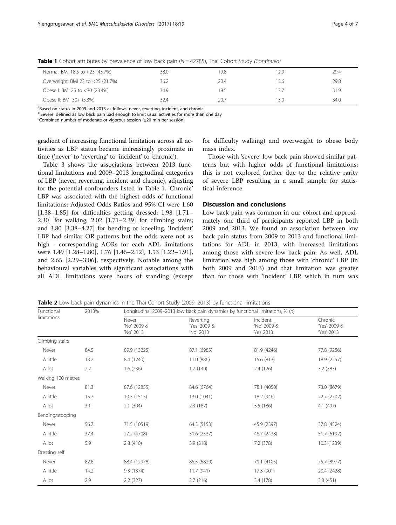| Normal: BMI 18.5 to <23 (43.7%)   | 38.0 | 19.8 | 12.9 | 29.4 |
|-----------------------------------|------|------|------|------|
| Overweight: BMI 23 to <25 (21.7%) | 36.2 | 20.4 | 13.6 | 29.8 |
| Obese I: BMI 25 to <30 (23.4%)    | 34.9 | 19.5 | 13.7 | 31.9 |
| Obese II: BMI 30+ (5.3%)          | 32.4 | 20.7 | 13.0 | 34.0 |

<span id="page-3-0"></span>**Table 1** Cohort attributes by prevalence of low back pain ( $N = 42785$ ), Thai Cohort Study (Continued)

<sup>a</sup>Based on status in 2009 and 2013 as follows: never, reverting, incident, and chronic

 $b^{\text{log}}$  defined as low back pain bad enough to limit usual activities for more than one day<br>Combined number of moderate or vigorous session (>20 min per session)

Combined number of moderate or vigorous session (≥20 min per session)

gradient of increasing functional limitation across all activities as LBP status became increasingly proximate in time ('never' to 'reverting' to 'incident' to 'chronic').

Table [3](#page-4-0) shows the associations between 2013 functional limitations and 2009–2013 longitudinal categories of LBP (never, reverting, incident and chronic), adjusting for the potential confounders listed in Table [1.](#page-2-0) 'Chronic' LBP was associated with the highest odds of functional limitations: Adjusted Odds Ratios and 95% CI were 1.60 [1.38–1.85] for difficulties getting dressed; 1.98 [1.71– 2.30] for walking; 2.02 [1.71–2.39] for climbing stairs; and 3.80 [3.38–4.27] for bending or kneeling. 'Incident' LBP had similar OR patterns but the odds were not as high - corresponding AORs for each ADL limitations were 1.49 [1.28–1.80], 1.76 [1.46–2.12], 1.53 [1.22–1.91], and 2.65 [2.29–3.06], respectively. Notable among the behavioural variables with significant associations with all ADL limitations were hours of standing (except for difficulty walking) and overweight to obese body mass index.

Those with 'severe' low back pain showed similar patterns but with higher odds of functional limitations; this is not explored further due to the relative rarity of severe LBP resulting in a small sample for statistical inference.

## Discussion and conclusions

Low back pain was common in our cohort and approximately one third of participants reported LBP in both 2009 and 2013. We found an association between low back pain status from 2009 to 2013 and functional limitations for ADL in 2013, with increased limitations among those with severe low back pain. As well, ADL limitation was high among those with 'chronic' LBP (in both 2009 and 2013) and that limitation was greater than for those with 'incident' LBP, which in turn was

**Table 2** Low back pain dynamics in the Thai Cohort Study (2009–2013) by functional limitations

| Functional         | 2013% |                                   | Longitudinal 2009-2013 low back pain dynamics by functional limitations, % (n) |                                     |                                       |  |  |
|--------------------|-------|-----------------------------------|--------------------------------------------------------------------------------|-------------------------------------|---------------------------------------|--|--|
| limitations        |       | Never<br>'No' 2009 &<br>'No' 2013 | Reverting<br>'Yes' 2009 &<br>'No' 2013                                         | Incident<br>'No' 2009 &<br>Yes 2013 | Chronic<br>'Yes' 2009 &<br>'Yes' 2013 |  |  |
| Climbing stairs    |       |                                   |                                                                                |                                     |                                       |  |  |
| Never              | 84.5  | 89.9 (13225)                      | 87.1 (6985)                                                                    | 81.9 (4246)                         | 77.8 (9256)                           |  |  |
| A little           | 13.2  | 8.4 (1240)                        | 11.0 (886)                                                                     | 15.6 (813)                          | 18.9 (2257)                           |  |  |
| A lot              | 2.2   | 1.6(236)                          | 1.7(140)                                                                       | 2.4(126)                            | 3.2(383)                              |  |  |
| Walking 100 metres |       |                                   |                                                                                |                                     |                                       |  |  |
| Never              | 81.3  | 87.6 (12855)                      | 84.6 (6764)                                                                    | 78.1 (4050)                         | 73.0 (8679)                           |  |  |
| A little           | 15.7  | 10.3(1515)                        | 13.0 (1041)                                                                    | 18.2 (946)                          | 22.7 (2702)                           |  |  |
| A lot              | 3.1   | 2.1(304)                          | 2.3(187)                                                                       | 3.5 (186)                           | 4.1 (497)                             |  |  |
| Bending/stooping   |       |                                   |                                                                                |                                     |                                       |  |  |
| Never              | 56.7  | 71.5 (10519)                      | 64.3 (5153)                                                                    | 45.9 (2397)                         | 37.8 (4524)                           |  |  |
| A little           | 37.4  | 27.2 (4708)                       | 31.6 (2537)                                                                    | 46.7 (2438)                         | 51.7 (6192)                           |  |  |
| A lot              | 5.9   | 2.8(410)                          | 3.9 (318)                                                                      | 7.2 (378)                           | 10.3 (1239)                           |  |  |
| Dressing self      |       |                                   |                                                                                |                                     |                                       |  |  |
| Never              | 82.8  | 88.4 (12978)                      | 85.5 (6829)                                                                    | 79.1 (4105)                         | 75.7 (8977)                           |  |  |
| A little           | 14.2  | 9.3 (1374)                        | 11.7 (941)                                                                     | 17.3 (901)                          | 20.4 (2428)                           |  |  |
| A lot              | 2.9   | 2.2(327)                          | 2.7(216)                                                                       | 3.4 (178)                           | 3.8(451)                              |  |  |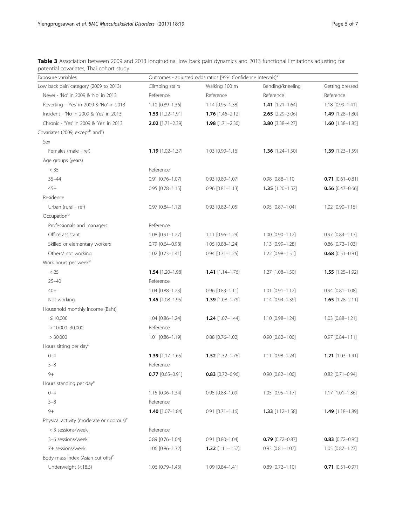| Exposure variables                                       | Outcomes - adjusted odds ratios [95% Confidence Intervals] <sup>a</sup> |                        |                        |                             |  |
|----------------------------------------------------------|-------------------------------------------------------------------------|------------------------|------------------------|-----------------------------|--|
| Low back pain category (2009 to 2013)                    | Climbing stairs                                                         | Walking 100 m          | Bending/kneeling       | Getting dressed             |  |
| Never - 'No' in 2009 & 'No' in 2013                      | Reference                                                               | Reference              | Reference              | Reference                   |  |
| Reverting - 'Yes' in 2009 & 'No' in 2013                 | 1.10 [0.89-1.36]                                                        | 1.14 [0.95-1.38]       | $1.41$ [1.21-1.64]     | 1.18 [0.99-1.41]            |  |
| Incident - 'No in 2009 & 'Yes' in 2013                   | $1.53$ [1.22-1.91]                                                      | $1.76$ [1.46-2.12]     | $2.65$ [2.29-3.06]     | $1.49$ [1.28-1.80]          |  |
| Chronic - 'Yes' in 2009 & 'Yes' in 2013                  | $2.02$ [1.71-2.39]                                                      | $1.98$ [1.71-2.30]     | 3.80 [3.38-4.27]       | $1.60$ [1.38-1.85]          |  |
| Covariates (2009, except <sup>b</sup> and <sup>c</sup> ) |                                                                         |                        |                        |                             |  |
| Sex                                                      |                                                                         |                        |                        |                             |  |
| Females (male - ref)                                     | $1.19$ [1.02-1.37]                                                      | $1.03$ $[0.90 - 1.16]$ | $1.36$ [1.24-1.50]     | <b>1.39</b> $[1.23 - 1.59]$ |  |
| Age groups (years)                                       |                                                                         |                        |                        |                             |  |
| $<$ 35                                                   | Reference                                                               |                        |                        |                             |  |
| $35 - 44$                                                | $0.91$ $[0.76 - 1.07]$                                                  | $0.93$ $[0.80 - 1.07]$ | 0.98 [0.88-1.10        | $0.71$ [0.61-0.81]          |  |
| $45+$                                                    | $0.95$ [0.78-1.15]                                                      | $0.96$ $[0.81 - 1.13]$ | $1.35$ [1.20-1.52]     | $0.56$ [0.47-0.66]          |  |
| Residence                                                |                                                                         |                        |                        |                             |  |
| Urban (rural - ref)                                      | $0.97$ $[0.84 - 1.12]$                                                  | $0.93$ $[0.82 - 1.05]$ | $0.95$ $[0.87 - 1.04]$ | $1.02$ [0.90-1.15]          |  |
| Occupationb                                              |                                                                         |                        |                        |                             |  |
| Professionals and managers                               | Reference                                                               |                        |                        |                             |  |
| Office assistant                                         | $1.08$ [0.91-1.27]                                                      | 1.11 [0.96-1.29]       | 1.00 [0.90-1.12]       | $0.97$ $[0.84 - 1.13]$      |  |
| Skilled or elementary workers                            | $0.79$ $[0.64 - 0.98]$                                                  | 1.05 [0.88-1.24]       | 1.13 [0.99-1.28]       | $0.86$ $[0.72 - 1.03]$      |  |
| Others/ not working                                      | $1.02$ [0.73-1.41]                                                      | $0.94$ [0.71-1.25]     | 1.22 [0.98-1.51]       | $0.68$ [0.51-0.91]          |  |
| Work hours per week <sup>b</sup>                         |                                                                         |                        |                        |                             |  |
| < 25                                                     | $1.54$ [1.20-1.98]                                                      | $1.41$ [1.14-1.76]     | 1.27 [1.08-1.50]       | $1.55$ [1.25-1.92]          |  |
| $25 - 40$                                                | Reference                                                               |                        |                        |                             |  |
| $40+$                                                    | 1.04 [0.88-1.23]                                                        | $0.96$ $[0.83 - 1.11]$ | $1.01$ $[0.91 - 1.12]$ | $0.94$ $[0.81 - 1.08]$      |  |
| Not working                                              | $1.45$ [1.08-1.95]                                                      | $1.39$ [1.08-1.79]     | 1.14 [0.94-1.39]       | $1.65$ [1.28-2.11]          |  |
| Household monthly income (Baht)                          |                                                                         |                        |                        |                             |  |
| $\leq 10,000$                                            | 1.04 [0.86-1.24]                                                        | $1.24$ [1.07-1.44]     | 1.10 [0.98-1.24]       | 1.03 [0.88-1.21]            |  |
| $>10,000 - 30,000$                                       | Reference                                                               |                        |                        |                             |  |
| > 30,000                                                 | $1.01$ $[0.86 - 1.19]$                                                  | $0.88$ $[0.76 - 1.02]$ | $0.90$ $[0.82 - 1.00]$ | $0.97$ $[0.84 - 1.11]$      |  |
| Hours sitting per day <sup>c</sup>                       |                                                                         |                        |                        |                             |  |
| $0 - 4$                                                  | $1.39$ [1.17-1.65]                                                      | $1.52$ [1.32-1.76]     | 1.11 [0.98-1.24]       | $1.21$ [1.03-1.41]          |  |
| $5 - 8$                                                  | Reference                                                               |                        |                        |                             |  |
| $9+$                                                     | $0.77$ [0.65-0.91]                                                      | $0.83$ [0.72-0.96]     | $0.90$ $[0.82 - 1.00]$ | 0.82 [0.71-0.94]            |  |
| Hours standing per day <sup>c</sup>                      |                                                                         |                        |                        |                             |  |
| $0 - 4$                                                  | 1.15 [0.96-1.34]                                                        | 0.95 [0.83-1.09]       | $1.05$ $[0.95 - 1.17]$ | $1.17$ [1.01-1.36]          |  |
| $5 - 8$                                                  | Reference                                                               |                        |                        |                             |  |
| $9+$                                                     | $1.40$ [1.07-1.84]                                                      | $0.91$ $[0.71 - 1.16]$ | $1.33$ [1.12-1.58]     | $1.49$ [1.18-1.89]          |  |
| Physical activity (moderate or rigorous) <sup>c</sup>    |                                                                         |                        |                        |                             |  |
| < 3 sessions/week                                        | Reference                                                               |                        |                        |                             |  |
| 3-6 sessions/week                                        | $0.89$ $[0.76 - 1.04]$                                                  | 0.91 [0.80-1.04]       | $0.79$ [0.72-0.87]     | $0.83$ [0.72-0.95]          |  |
| 7+ sessions/week                                         | 1.06 [0.86-1.32]                                                        | $1.32$ [1.11-1.57]     | $0.93$ $[0.81 - 1.07]$ | 1.05 [0.87-1.27]            |  |
| Body mass index (Asian cut offs) <sup>c</sup>            |                                                                         |                        |                        |                             |  |
| Underweight (<18.5)                                      | 1.06 [0.79-1.43]                                                        | 1.09 [0.84-1.41]       | $0.89$ $[0.72 - 1.10]$ | $0.71$ [0.51-0.97]          |  |

<span id="page-4-0"></span>Table 3 Association between 2009 and 2013 longitudinal low back pain dynamics and 2013 functional limitations adjusting for potential covariates, Thai cohort study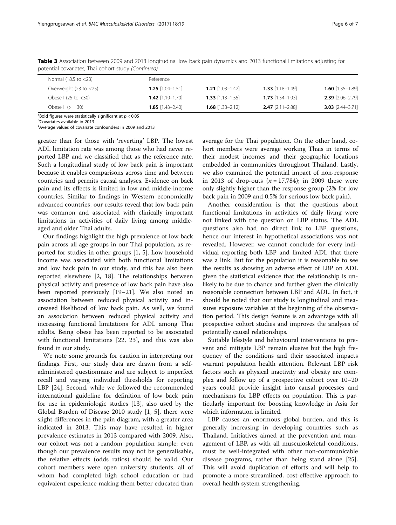| Normal (18.5 to <23)               | Reference                   |                             |                             |                             |
|------------------------------------|-----------------------------|-----------------------------|-----------------------------|-----------------------------|
| Overweight $(23 \text{ to } < 25)$ | <b>1.25</b> $[1.04 - 1.51]$ | <b>1.21</b> $[1.03 - 1.42]$ | $1.33$ [1.18-1.49]          | <b>1.60</b> $[1.35-1.89]$   |
| Obese I (25 to $<$ 30)             | <b>1.42</b> $[1.19 - 1.70]$ | <b>1.33</b> $[1.13 - 1.55]$ | <b>1.73</b> $[1.54 - 1.93]$ | $2.39$ [2.06-2.79]          |
| Obese $  $ $(>=30)$                | <b>1.85</b> $[1.43 - 2.40]$ | $1.68$ [1.33-2.12]          | $2.47$ [2.11-2.88]          | <b>3.03</b> $[2.44 - 3.71]$ |

Table 3 Association between 2009 and 2013 longitudinal low back pain dynamics and 2013 functional limitations adjusting for potential covariates, Thai cohort study (Continued)

<sup>a</sup> Bold figures were statistically significant at  $p < 0.05$ <br>bCovariates available in 2013

Covariates available in 2013

<sup>c</sup>Average values of covariate confounders in 2009 and 2013

greater than for those with 'reverting' LBP. The lowest ADL limitation rate was among those who had never reported LBP and we classified that as the reference rate. Such a longitudinal study of low back pain is important because it enables comparisons across time and between countries and permits causal analyses. Evidence on back pain and its effects is limited in low and middle-income countries. Similar to findings in Western economically advanced countries, our results reveal that low back pain was common and associated with clinically important limitations in activities of daily living among middleaged and older Thai adults.

Our findings highlight the high prevalence of low back pain across all age groups in our Thai population, as reported for studies in other groups [[1, 5](#page-6-0)]. Low household income was associated with both functional limitations and low back pain in our study, and this has also been reported elsewhere [\[2](#page-6-0), [18](#page-6-0)]. The relationships between physical activity and presence of low back pain have also been reported previously [\[19](#page-6-0)–[21\]](#page-6-0). We also noted an association between reduced physical activity and increased likelihood of low back pain. As well, we found an association between reduced physical activity and increasing functional limitations for ADL among Thai adults. Being obese has been reported to be associated with functional limitations [[22](#page-6-0), [23](#page-6-0)], and this was also found in our study.

We note some grounds for caution in interpreting our findings. First, our study data are drawn from a selfadministered questionnaire and are subject to imperfect recall and varying individual thresholds for reporting LBP [[24](#page-6-0)]. Second, while we followed the recommended international guideline for definition of low back pain for use in epidemiologic studies [[13](#page-6-0)], also used by the Global Burden of Disease 2010 study [[1, 5\]](#page-6-0), there were slight differences in the pain diagram, with a greater area indicated in 2013. This may have resulted in higher prevalence estimates in 2013 compared with 2009. Also, our cohort was not a random population sample; even though our prevalence results may not be generalisable, the relative effects (odds ratios) should be valid. Our cohort members were open university students, all of whom had completed high school education or had equivalent experience making them better educated than

average for the Thai population. On the other hand, cohort members were average working Thais in terms of their modest incomes and their geographic locations embedded in communities throughout Thailand. Lastly, we also examined the potential impact of non-response in 2013 of drop-outs  $(n = 17,784)$ ; in 2009 these were only slightly higher than the response group (2% for low back pain in 2009 and 0.5% for serious low back pain).

Another consideration is that the questions about functional limitations in activities of daily living were not linked with the question on LBP status. The ADL questions also had no direct link to LBP questions, hence our interest in hypothetical associations was not revealed. However, we cannot conclude for every individual reporting both LBP and limited ADL that there was a link. But for the population it is reasonable to see the results as showing an adverse effect of LBP on ADL given the statistical evidence that the relationship is unlikely to be due to chance and further given the clinically reasonable connection between LBP and ADL. In fact, it should be noted that our study is longitudinal and measures exposure variables at the beginning of the observation period. This design feature is an advantage with all prospective cohort studies and improves the analyses of potentially causal relationships.

Suitable lifestyle and behavioural interventions to prevent and mitigate LBP remain elusive but the high frequency of the conditions and their associated impacts warrant population health attention. Relevant LBP risk factors such as physical inactivity and obesity are complex and follow up of a prospective cohort over 10–20 years could provide insight into causal processes and mechanisms for LBP effects on population. This is particularly important for boosting knowledge in Asia for which information is limited.

LBP causes an enormous global burden, and this is generally increasing in developing countries such as Thailand. Initiatives aimed at the prevention and management of LBP, as with all musculoskeletal conditions, must be well-integrated with other non-communicable disease programs, rather than being stand alone [\[25](#page-6-0)]. This will avoid duplication of efforts and will help to promote a more-streamlined, cost-effective approach to overall health system strengthening.